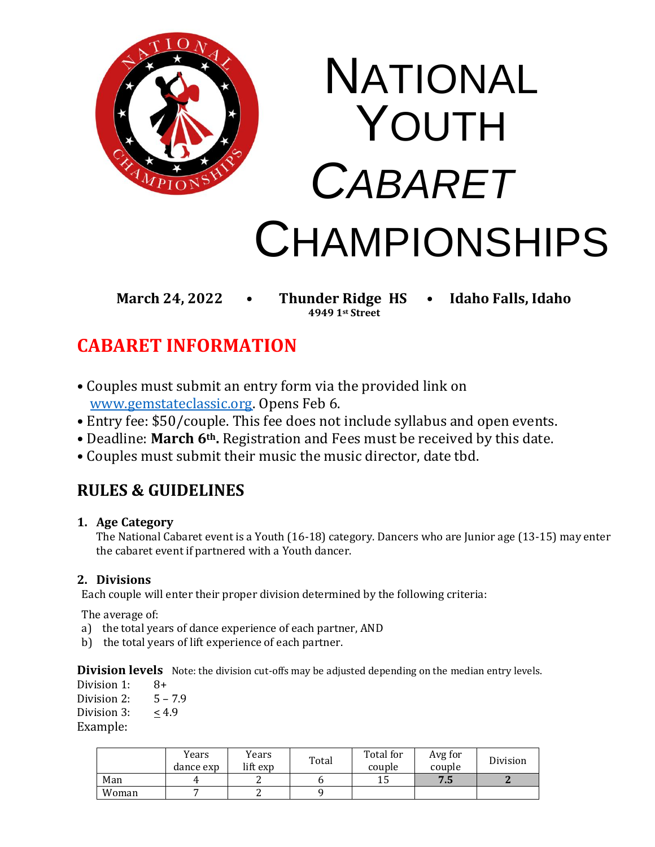

**4949 1st Street**

**March 24, 2022 • Thunder Ridge HS • Idaho Falls, Idaho**

# **CABARET INFORMATION**

- Couples must submit an entry form via the provided link on [www.gemstateclassic.org.](http://www.gemstateclassic.org/) Opens Feb 6.
- Entry fee: \$50/couple. This fee does not include syllabus and open events.
- Deadline: **March 6th.** Registration and Fees must be received by this date.
- Couples must submit their music the music director, date tbd.

## **RULES & GUIDELINES**

## **1. Age Category**

The National Cabaret event is a Youth (16-18) category. Dancers who are Junior age (13-15) may enter the cabaret event if partnered with a Youth dancer.

## **2. Divisions**

Each couple will enter their proper division determined by the following criteria:

The average of:

- a) the total years of dance experience of each partner, AND
- b) the total years of lift experience of each partner.

**Division levels** Note: the division cut-offs may be adjusted depending on the median entry levels.

Division 1: 8+ Division 2:  $5 - 7.9$ Division 3:  $< 4.9$ Example:

|       | Years<br>dance exp | Years<br>lift exp | Total | Total for<br>couple | Avg for<br>couple | <b>Division</b> |
|-------|--------------------|-------------------|-------|---------------------|-------------------|-----------------|
| Man   |                    |                   |       | ⊥∪                  | 75<br>ر. ر        |                 |
| Woman |                    |                   |       |                     |                   |                 |